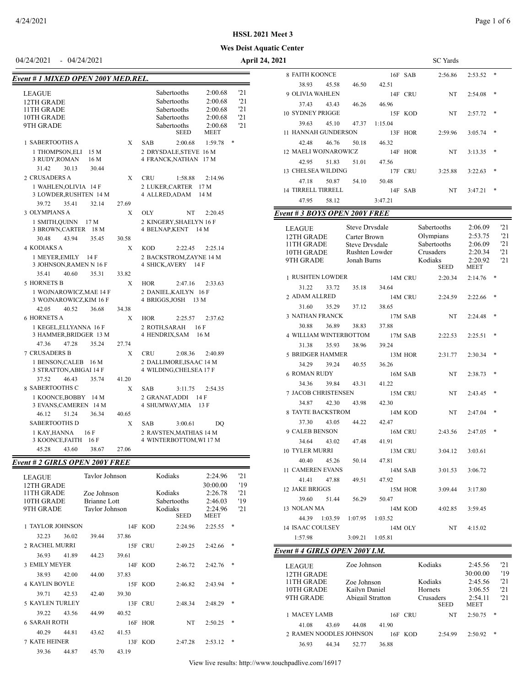### *Event # 1 MIXED OPE*

| ent # 1 MIXED OPEN 200Y MED.REL. |       |                                                             |  |  |  |
|----------------------------------|-------|-------------------------------------------------------------|--|--|--|
| <b>LEAGUE</b>                    |       | '21<br>Sabertooths<br>2:00.68                               |  |  |  |
| 12TH GRADE                       |       | '21<br><b>Sabertooths</b><br>2:00.68                        |  |  |  |
| 11TH GRADE                       |       | 121<br><b>Sabertooths</b><br>2:00.68                        |  |  |  |
| 10TH GRADE                       |       | '21<br><b>Sabertooths</b><br>2:00.68                        |  |  |  |
| 9TH GRADE                        |       | '21<br>2:00.68<br>Sabertooths<br><b>SEED</b><br><b>MEET</b> |  |  |  |
| <b>1 SABERTOOTHS A</b>           | X     | *<br>1:59.78<br><b>SAR</b><br>2:00.68                       |  |  |  |
| 1 THOMPSON, ELI<br>15 M          |       | 2 DRYSDALE, STEVE 16 M                                      |  |  |  |
| 3 RUDY, ROMAN<br>16 M            |       | 4 FRANCK.NATHAN 17 M                                        |  |  |  |
| 30.13<br>31.42<br>30.44          |       |                                                             |  |  |  |
| 2 CRUSADERS A                    | X     | <b>CRU</b><br>2:14.96<br>1:58.88                            |  |  |  |
| 1 WAHLEN, OLIVIA 14 F            |       | 2 LUKER,CARTER<br>17 <sub>M</sub>                           |  |  |  |
| 3 LOWDER, RUSHTEN 14 M           |       | 4 ALLRED.ADAM<br>14 M                                       |  |  |  |
| 35.41<br>32.14<br>39.72          | 27.69 |                                                             |  |  |  |
| 3 OLYMPIANS A                    | X     | OLY<br>NT<br>2:20.45                                        |  |  |  |
| 1 SMITH, QUINN 17 M              |       | 2 KINGERY, SHAELYN 16 F                                     |  |  |  |
| 3 BROWN, CARTER<br>18 M          |       | 4 BELNAP, KENT<br>14 M                                      |  |  |  |
| 30.48<br>43.94<br>35.45          | 30.58 |                                                             |  |  |  |
| <b>4 KODJAKS A</b>               | X     | <b>KOD</b><br>2:22.45<br>2.2514                             |  |  |  |
| 1 MEYER, EMILY 14 F              |       | 2 BACKSTROM, ZAYNE 14 M                                     |  |  |  |
| 3 JOHNSON.RAMEN N 16 F           |       | <b>4 SHICK, AVERY</b><br>14F                                |  |  |  |
| 35.41<br>40.60<br>35.31          | 33.82 |                                                             |  |  |  |

| 32.4L        | 40.60                                        | 55.SL               | 33.82 |               |                                                    |         |  |
|--------------|----------------------------------------------|---------------------|-------|---------------|----------------------------------------------------|---------|--|
| ORNETS B     |                                              |                     | X     | HOR           | 2:47.16                                            | 2:33.63 |  |
|              | WOJNAROWICZ,MAE 14 F<br>WOJNAROWICZ,KIM 16 F |                     |       |               | 2 DANIEL, KAILYN 16 F<br>4 BRIGGS, JOSH 13 M       |         |  |
| 42.05        | 40.52                                        | 36.68               | 34.38 |               |                                                    |         |  |
| ORNETS A     |                                              |                     | X     | <b>HOR</b>    | 2:25.57                                            | 2:37.62 |  |
|              | KEGEL,ELLYANNA 16 F                          | HAMMER,BRIDGER 13 M |       | 2 ROTH, SARAH | 16F<br>4 HENDRIX, SAM 16 M                         |         |  |
| 47.36        | 47.28                                        | 35.24               | 27.74 |               |                                                    |         |  |
| RUSADERS B   |                                              |                     | X     | CRU           | 2:08.36                                            | 2:40.89 |  |
|              | BENSON, CALEB 16 M<br>STRATTON, ABIGAI 14 F  |                     |       |               | 2 DALLIMORE, ISAAC 14 M<br>4 WILDING, CHELSEA 17 F |         |  |
| 37.52        | 46.43                                        | 35.74               | 41.20 |               |                                                    |         |  |
| ABERTOOTHS C |                                              |                     | X     | <b>SAB</b>    | 3:11.75                                            | 2:54.35 |  |
|              | KOONCE,BOBBY 14 M<br>EVANS, CAMEREN 14 M     |                     |       |               | 2 GRANAT, ADDI 14 F<br>4 SHUMWAY, MIA 13 F         |         |  |
| 46.12        | 51 24                                        | 36.34               | 40.65 |               |                                                    |         |  |
| ABERTOOTHS D |                                              |                     | X     | <b>SAB</b>    | 3:00.61                                            | DO      |  |
|              | KAY,HANNA 16 F<br>KOONCE, FAITH 16 F         |                     |       |               | 2 RAVSTEN, MATHIAS 14 M<br>4 WINTERBOTTOM, WI 17 M |         |  |
| 45.28        | 43.60                                        | 38.67               | 27.06 |               |                                                    |         |  |

# *Event # 2 GIRLS OPEN 200Y FREE*

| $\epsilon$ ii 172 GIALD OI LIV 2001 I ALL |       |                |                |            |             |                     |            |
|-------------------------------------------|-------|----------------|----------------|------------|-------------|---------------------|------------|
| <b>LEAGUE</b><br>12TH GRADE               |       |                | Tavlor Johnson |            | Kodiaks     | 2:24.96<br>30:00.00 | '21<br>'19 |
| 11TH GRADE                                |       | Zoe Johnson    |                |            | Kodiaks     | 2:26.78             | 21         |
| 10TH GRADE                                |       | Brianne Lott   |                |            | Sabertooths | 2:46.03             | '19        |
| 9TH GRADE                                 |       | Taylor Johnson |                |            | Kodiaks     | 2:24.96             | 121        |
|                                           |       |                |                |            | <b>SEED</b> | <b>MEET</b>         |            |
| <b>1 TAYLOR JOHNSON</b>                   |       |                |                | 14F KOD    | 2:24.96     | 2:25.55             | *          |
| 32.23                                     | 36.02 | 39.44          | 37.86          |            |             |                     |            |
| 2 RACHEL MURRI                            |       |                |                | 15F CRU    | 2:49.25     | 2:42.66             | *          |
| 36.93                                     | 41.89 | 44.23          | 39.61          |            |             |                     |            |
| <b>3 EMILY MEYER</b>                      |       |                |                | 14F KOD    | 2:46.72     | 2:42.76             | *          |
| 38.93                                     | 42.00 | 44.00          | 37.83          |            |             |                     |            |
| <b>4 KAYLIN BOYLE</b>                     |       |                |                | 15F KOD    | 2:46.82     | 2:43.94             | *          |
| 39.71                                     | 42.53 | 42.40          | 39.30          |            |             |                     |            |
| <b>5 KAYLEN TURLEY</b>                    |       |                |                | 13F CRU    | 2:48.34     | 2:48.29             | *          |
| 39.22                                     | 43.56 | 44.99          | 40.52          |            |             |                     |            |
| <b>6 SARAH ROTH</b>                       |       |                | 16F            | <b>HOR</b> | NT          | 2:50.25             | *          |
| 40.29                                     | 44.81 | 43.62          | 41.53          |            |             |                     |            |
| <b>7 KATE HEINER</b>                      |       |                |                | 13F KOD    | 2:47.28     | 2:53.12             | *          |
| 39.36                                     | 44.87 | 45.70          | 43.19          |            |             |                     |            |

| 04/24/2021 - 04/24/2021                                          |                                                               | April 24, 2021                                                      | <b>SC</b> Yards             |                                   |
|------------------------------------------------------------------|---------------------------------------------------------------|---------------------------------------------------------------------|-----------------------------|-----------------------------------|
|                                                                  |                                                               | <b>8 FAITH KOONCE</b>                                               | 16F SAB<br>2:56.86          | $2:53.52$ *                       |
| Event # 1 MIXED OPEN 200Y MED.REL.                               |                                                               | 38.93<br>45.58<br>46.50                                             | 42.51                       |                                   |
| <b>LEAGUE</b>                                                    | '21<br>Sabertooths<br>2:00.68                                 | 9 OLIVIA WAHLEN                                                     | 14F CRU<br>NT               | $2:54.08$ *                       |
| 12TH GRADE                                                       | 21<br>2:00.68<br>Sabertooths                                  | 37.43<br>43.43<br>46.26                                             | 46.96                       |                                   |
| 11TH GRADE<br>10TH GRADE                                         | 2:00.68<br>21<br>Sabertooths<br>2:00.68<br>'21<br>Sabertooths | 10 SYDNEY PRIGGE                                                    | 15F KOD<br>NT               | $2:57.72$ *                       |
| 9TH GRADE                                                        | 2:00.68<br>'21<br>Sabertooths                                 | 39.63<br>45.10<br>47.37                                             | 1:15.04                     |                                   |
|                                                                  | <b>SEED</b><br><b>MEET</b>                                    | 11 HANNAH GUNDERSON                                                 | 13F HOR<br>2:59.96          | $3:05.74$ *                       |
| 1 SABERTOOTHS A<br>X                                             | $1:59.78$ *<br>SAB<br>2:00.68                                 | 42.48<br>46.76<br>50.18                                             | 46.32                       |                                   |
| 1 THOMPSON, ELI 15 M<br>3 RUDY, ROMAN<br>16 M                    | 2 DRYSDALE, STEVE 16 M<br>4 FRANCK, NATHAN 17 M               | 12 MAELI WOJNAROWICZ                                                | 14F HOR<br>NT               | $3:13.35$ *                       |
| 31.42<br>30.13<br>30.44                                          |                                                               | 42.95<br>51.83<br>51.01                                             | 47.56                       |                                   |
| 2 CRUSADERS A<br>X                                               | <b>CRU</b><br>1:58.88<br>2:14.96                              | 13 CHELSEA WILDING<br>47.18<br>50.87<br>54.10                       | 17F CRU<br>3:25.88<br>50.48 | $3:22.63$ *                       |
| 1 WAHLEN, OLIVIA 14 F                                            | 2 LUKER, CARTER 17 M                                          | 14 TIRRELL TIRRELL                                                  | 14F SAB<br>NT               | $3:47.21$ *                       |
| 3 LOWDER, RUSHTEN 14 M                                           | 4 ALLRED, ADAM 14 M                                           | 47.95<br>58.12                                                      | 3:47.21                     |                                   |
| 39.72<br>35.41<br>32.14<br>27.69                                 |                                                               |                                                                     |                             |                                   |
| 3 OLYMPIANS A<br>X<br>1 SMITH, QUINN 17 M                        | OLY<br>NT<br>2:20.45<br>2 KINGERY, SHAELYN 16 F               | Event # 3 BOYS OPEN 200Y FREE                                       |                             |                                   |
| 3 BROWN, CARTER 18 M                                             | 4 BELNAP, KENT 14 M                                           | Steve Drysdale<br><b>LEAGUE</b>                                     | Sabertooths                 | '21<br>2:06.09                    |
| 43.94<br>30.48<br>35.45<br>30.58                                 |                                                               | 12TH GRADE<br>Carter Brown                                          | Olympians                   | 2:53.75<br>'21                    |
| 4 KODIAKS A<br>X                                                 | <b>KOD</b><br>2:22.45<br>2:25.14                              | 11TH GRADE<br><b>Steve Drysdale</b><br>10TH GRADE<br>Rushten Lowder | Sabertooths<br>Crusaders    | '21<br>2:06.09<br>'21<br>2:20.34  |
| 1 MEYER, EMILY 14 F                                              | 2 BACKSTROM, ZAYNE 14 M                                       | 9TH GRADE<br>Jonah Burns                                            | Kodiaks                     | 2:20.92<br>21                     |
| 3 JOHNSON, RAMEN N 16 F                                          | 4 SHICK, AVERY 14 F                                           |                                                                     | <b>SEED</b>                 | <b>MEET</b>                       |
| 33.82<br>35.41<br>40.60<br>35.31<br>5 HORNETS B<br>X             | <b>HOR</b><br>2:47.16<br>2:33.63                              | 1 RUSHTEN LOWDER                                                    | 14M CRU<br>2:20.34          | $2:14.76$ *                       |
| 1 WOJNAROWICZ, MAE 14 F                                          | 2 DANIEL, KAILYN 16 F                                         | 31.22<br>33.72<br>35.18                                             | 34.64                       |                                   |
| 3 WOJNAROWICZ, KIM 16 F                                          | 4 BRIGGS, JOSH 13 M                                           | 2 ADAM ALLRED                                                       | 14M CRU<br>2:24.59          | $2:22.66$ *                       |
| 42.05<br>40.52<br>36.68<br>34.38                                 |                                                               | 31.60<br>35.29<br>37.12                                             | 38.65                       |                                   |
| <b>6 HORNETS A</b><br>X                                          | <b>HOR</b><br>2:25.57<br>2:37.62                              | 3 NATHAN FRANCK                                                     | 17M SAB<br>NT               | $2:24.48$ *                       |
| 1 KEGEL, ELLYANNA 16 F                                           | 16F<br>2 ROTH, SARAH                                          | 30.88<br>36.89<br>38.83<br>4 WILLIAM WINTERBOTTOM                   | 37.88                       |                                   |
| 3 HAMMER, BRIDGER 13 M<br>47.28<br>47.36<br>35.24<br>27.74       | 4 HENDRIX, SAM 16 M                                           | 35.93<br>31.38<br>38.96                                             | 17M SAB<br>2:22.53<br>39.24 | $2:25.51$ *                       |
| <b>7 CRUSADERS B</b><br>X                                        | <b>CRU</b><br>2:08.36<br>2:40.89                              | <b>5 BRIDGER HAMMER</b>                                             | 13M HOR<br>2:31.77          | $2:30.34$ *                       |
| 1 BENSON, CALEB 16 M                                             | 2 DALLIMORE, ISAAC 14 M                                       | 34.29<br>39.24<br>40.55                                             | 36.26                       |                                   |
| 3 STRATTON, ABIGAI 14 F                                          | 4 WILDING, CHELSEA 17 F                                       | <b>6 ROMAN RUDY</b>                                                 | 16M SAB<br>NT               | $2:38.73$ *                       |
| 37.52<br>46.43<br>35.74<br>41.20                                 |                                                               | 34.36<br>39.84<br>43.31                                             | 41.22                       |                                   |
| 8 SABERTOOTHS C<br>X                                             | SAB<br>3:11.75<br>2:54.35                                     | 7 JACOB CHRISTENSEN                                                 | 15M CRU<br>NT               | $2:43.45$ *                       |
| 1 KOONCE, BOBBY 14 M<br>3 EVANS, CAMEREN 14 M                    | 2 GRANAT.ADDI 14 F<br>4 SHUMWAY, MIA 13 F                     | 34.87<br>42.30<br>43.98                                             | 42.30                       |                                   |
| 51.24<br>36.34<br>46.12<br>40.65                                 |                                                               | <b>8 TAYTE BACKSTROM</b>                                            | 14M KOD<br>NT               | $2:47.04$ *                       |
| <b>SABERTOOTHS D</b><br>X                                        | SAB<br>3:00.61<br>DO                                          | 37.30<br>43.05<br>44.22                                             | 42.47                       |                                   |
| 1 KAY, HANNA<br>16F                                              | 2 RAVSTEN, MATHIAS 14 M                                       | 9 CALEB BENSON                                                      | 16M CRU<br>2:43.56          | $2:47.05$ *                       |
| 3 KOONCE, FAITH 16 F                                             | 4 WINTERBOTTOM, WI 17 M                                       | 43.02<br>34.64<br>47.48                                             | 41.91                       |                                   |
| 45.28<br>43.60<br>38.67<br>27.06                                 |                                                               | 10 TYLER MURRI                                                      | 13M CRU<br>3:04.12          | 3:03.61                           |
| Event # 2 GIRLS OPEN 200Y FREE                                   |                                                               | 40.40<br>45.26<br>50.14                                             | 47.81                       |                                   |
| Taylor Johnson<br><b>LEAGUE</b>                                  | Kodiaks<br>2:24.96<br>'21                                     | 11 CAMEREN EVANS                                                    | 14M SAB<br>3:01.53          | 3:06.72                           |
| 12TH GRADE                                                       | 30:00.00<br>'19                                               | 41.41<br>47.88<br>49.51<br>12 JAKE BRIGGS                           | 47.92<br>15M HOR<br>3:09.44 | 3:17.80                           |
| 11TH GRADE<br>Zoe Johnson                                        | 2:26.78<br>Kodiaks<br>'21                                     | 39.60<br>51.44<br>56.29                                             | 50.47                       |                                   |
| 10TH GRADE<br>Brianne Lott<br><b>Taylor Johnson</b><br>9TH GRADE | 2:46.03<br>Sabertooths<br>'19<br>2:24.96<br>Kodiaks<br>'21    | 13 NOLAN MA                                                         | 14M KOD<br>4:02.85          | 3:59.45                           |
|                                                                  | <b>SEED</b><br><b>MEET</b>                                    | 1:07.95<br>44.39 1:03.59                                            | 1:03.52                     |                                   |
| 1 TAYLOR JOHNSON                                                 | $2:25.55$ *<br>14F KOD<br>2:24.96                             | 14 ISAAC COULSEY                                                    | 14M OLY<br>NT               | 4:15.02                           |
| 32.23<br>36.02<br>39.44<br>37.86                                 |                                                               | 1:57.98<br>3:09.21 1:05.81                                          |                             |                                   |
| 2 RACHEL MURRI                                                   | 15F CRU<br>2:49.25<br>$2:42.66$ *                             | Event #4 GIRLS OPEN 200Y I.M.                                       |                             |                                   |
| 36.93<br>41.89<br>44.23<br>39.61                                 |                                                               |                                                                     |                             |                                   |
| 3 EMILY MEYER                                                    | 14F KOD<br>$2:42.76$ *<br>2:46.72                             | Zoe Johnson<br><b>LEAGUE</b>                                        | Kodiaks                     | 2:45.56<br>'21                    |
| 38.93<br>42.00<br>44.00<br>37.83                                 |                                                               | 12TH GRADE                                                          | Kodiaks                     | 30:00.00<br>'19<br>2:45.56<br>'21 |
| <b>4 KAYLIN BOYLE</b>                                            | 15F KOD<br>2:46.82<br>$2:43.94$ *                             | 11TH GRADE<br>Zoe Johnson<br>10TH GRADE<br>Kailyn Daniel            | Hornets                     | 3:06.55<br>'21                    |
| 39.71<br>39.30<br>42.53<br>42.40                                 |                                                               | 9TH GRADE<br>Abigail Stratton                                       | Crusaders                   | '21<br>2:54.11                    |
| 5 KAYLEN TURLEY                                                  | 13F CRU<br>2:48.34<br>$2:48.29$ *                             |                                                                     | <b>SEED</b>                 | <b>MEET</b>                       |
| 39.22<br>43.56<br>44.99<br>40.52<br><b>6 SARAH ROTH</b>          | 16F HOR<br>NT<br>$2:50.25$ *                                  | 1 MACEY LAMB                                                        | 16F CRU<br>NT               | $2:50.75$ *                       |
| 40.29<br>44.81<br>43.62<br>41.53                                 |                                                               | 41.08<br>43.69<br>44.08<br>2 RAMEN NOODLES JOHNSON                  | 41.90                       |                                   |
|                                                                  |                                                               |                                                                     | 16F KOD<br>2:54.99          | $2:50.92$ *                       |

36.93 44.34 52.77 36.88

# **Wes Deist Aquatic Center HSSL 2021 Meet 3**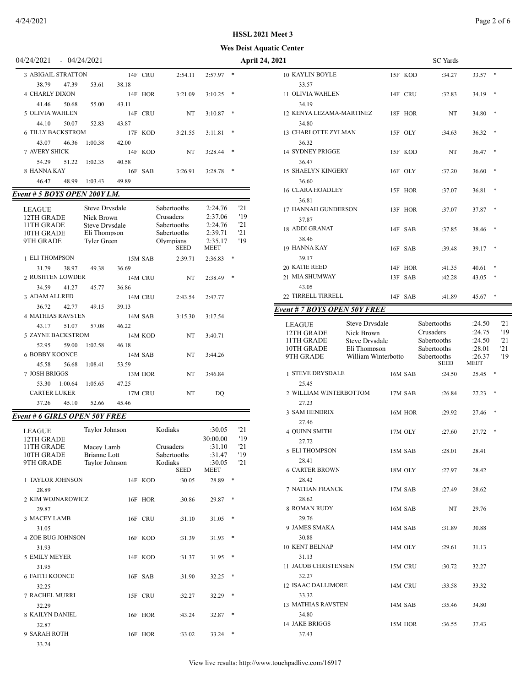### **HSSL 2021 Meet 3**

**Wes Deist Aquatic Center**

| 14/24/2021 |  | 04/24/2021 |  |
|------------|--|------------|--|
|------------|--|------------|--|

| <b>3 ABIGAIL STRATTON</b> |       |         |       | 14F CRU | 2:54.11 | 2:57.97 | $\ast$ |
|---------------------------|-------|---------|-------|---------|---------|---------|--------|
| 38.79                     | 47.39 | 53.61   | 38.18 |         |         |         |        |
| <b>4 CHARLY DIXON</b>     |       |         |       | 14F HOR | 3:21.09 | 3:10.25 | $*$    |
| 41.46                     | 50.68 | 55.00   | 43.11 |         |         |         |        |
| 5 OLIVIA WAHLEN           |       |         |       | 14F CRU | NT      | 3:10.87 | *      |
| 44.10                     | 50.07 | 52.83   | 43.87 |         |         |         |        |
| <b>6 TILLY BACKSTROM</b>  |       |         |       | 17F KOD | 3:21.55 | 3:11.81 | $*$    |
| 43.07                     | 46.36 | 1:00.38 | 42.00 |         |         |         |        |
| <b>7 AVERY SHICK</b>      |       |         |       | 14F KOD | NT      | 3:28.44 | $*$    |
| 54.29                     | 51.22 | 1:02.35 | 40.58 |         |         |         |        |
| 8 HANNA KAY               |       |         |       | 16F SAB | 3:26.91 | 3:28.78 | $*$    |
| 46.47                     | 48.99 | 1:03.43 | 49.89 |         |         |         |        |

# *Event # 5 BOYS OPEN 200Y I.M.*

| <b>LEAGUE</b><br>12TH GRADE<br>11TH GRADE<br>10TH GRADE<br>9TH GRADE |         | <b>Steve Drysdale</b><br>Nick Brown<br>Steve Drysdale<br>Eli Thompson<br>Tyler Green |         | Sabertooths<br>Crusaders<br>Sabertooths<br>Sabertooths<br>Olympians<br><b>SEED</b> | 2:24.76<br>2:37.06<br>2:24.76<br>2:39.71<br>2:35.17<br><b>MEET</b> |   | 21<br>'19<br>'21<br>21<br>'19 |
|----------------------------------------------------------------------|---------|--------------------------------------------------------------------------------------|---------|------------------------------------------------------------------------------------|--------------------------------------------------------------------|---|-------------------------------|
| <b>1 ELI THOMPSON</b>                                                |         |                                                                                      | 15M SAB | 2:39.71                                                                            | 2:36.83                                                            | * |                               |
| 31.79                                                                | 38.97   | 49.38                                                                                | 36.69   |                                                                                    |                                                                    |   |                               |
| 2 RUSHTEN LOWDER                                                     |         |                                                                                      | 14M CRU | NT                                                                                 | 2:38.49                                                            | * |                               |
| 34.59                                                                | 41.27   | 45.77                                                                                | 36.86   |                                                                                    |                                                                    |   |                               |
| 3 ADAM ALLRED                                                        |         |                                                                                      | 14M CRU | 2:43.54                                                                            | 2:47.77                                                            |   |                               |
| 36.72                                                                | 42.77   | 49.15                                                                                | 39.13   |                                                                                    |                                                                    |   |                               |
| <b>4 MATHIAS RAVSTEN</b>                                             |         |                                                                                      | 14M SAB | 3:15.30                                                                            | 3:17.54                                                            |   |                               |
| 43.17                                                                | 51.07   | 57.08                                                                                | 46.22   |                                                                                    |                                                                    |   |                               |
| <b>5 ZAYNE BACKSTROM</b>                                             |         |                                                                                      | 14M KOD | NT                                                                                 | 3:40.71                                                            |   |                               |
| 52.95                                                                | 59.00   | 1:02.58                                                                              | 46.18   |                                                                                    |                                                                    |   |                               |
| <b>6 BOBBY KOONCE</b>                                                |         |                                                                                      | 14M SAB | NT                                                                                 | 3:44.26                                                            |   |                               |
| 45.58                                                                | 56.68   | 1:08.41                                                                              | 53.59   |                                                                                    |                                                                    |   |                               |
| 7 JOSH BRIGGS                                                        |         |                                                                                      | 13M HOR | NT 1                                                                               | 3:46.84                                                            |   |                               |
| 53.30                                                                | 1:00.64 | 1:05.65                                                                              | 47.25   |                                                                                    |                                                                    |   |                               |
| <b>CARTER LUKER</b>                                                  |         |                                                                                      | 17M CRU | NT                                                                                 | DO                                                                 |   |                               |
| 37.26                                                                | 45.10   | 52.66                                                                                | 45.46   |                                                                                    |                                                                    |   |                               |

# *Event # 6 GIRLS OPEN 50Y FREE*

| <b>LEAGUE</b><br>12TH GRADE<br>11TH GRADE<br>10TH GRADE<br>9TH GRADE | Taylor Johnson<br>Macev Lamb<br>Brianne Lott<br>Tavlor Johnson |         | Kodiaks<br>Crusaders<br>Sabertooths<br>Kodiaks<br><b>SEED</b> | :30.05<br>30:00.00<br>:31.10<br>:31.47<br>:30.05<br><b>MEET</b> |     | '21<br>'19<br>'21<br>'19<br>'21 |
|----------------------------------------------------------------------|----------------------------------------------------------------|---------|---------------------------------------------------------------|-----------------------------------------------------------------|-----|---------------------------------|
| <b>1 TAYLOR JOHNSON</b>                                              |                                                                | 14F KOD | :30.05                                                        | 28.89                                                           | $*$ |                                 |
| 28.89<br>2 KIM WOJNAROWICZ<br>29.87                                  |                                                                | 16F HOR | :30.86                                                        | 29.87                                                           | *   |                                 |
| 3 MACEY LAMB                                                         |                                                                | 16F CRU | :31.10                                                        | 31.05                                                           | *   |                                 |
| 31.05<br><b>4 ZOE BUG JOHNSON</b>                                    |                                                                | 16F KOD | :31.39                                                        | 31.93                                                           | $*$ |                                 |
| 31.93<br><b>5 EMILY MEYER</b><br>31.95                               |                                                                | 14F KOD | :31.37                                                        | 31.95                                                           | *   |                                 |
| <b>6 FAITH KOONCE</b><br>32.25                                       |                                                                | 16F SAB | :31.90                                                        | 32.25                                                           | *   |                                 |
| 7 RACHEL MURRI                                                       |                                                                | 15F CRU | :32.27                                                        | 32.29                                                           | *   |                                 |
| 32.29<br>8 KAILYN DANIEL                                             |                                                                | 16F HOR | :43.24                                                        | 32.87                                                           | *   |                                 |
| 32.87<br><b>9 SARAH ROTH</b><br>33.24                                |                                                                | 16F HOR | :33.02                                                        | 33.24                                                           | $*$ |                                 |

| 04/24/2021                    | $-04/24/2021$         |         |                 |                   |     | April 24, 2021                          |                     | <b>SC</b> Yards            |                  |            |
|-------------------------------|-----------------------|---------|-----------------|-------------------|-----|-----------------------------------------|---------------------|----------------------------|------------------|------------|
| <b>3 ABIGAIL STRATTON</b>     |                       | 14F CRU | 2:54.11         | $2:57.97$ *       |     | 10 KAYLIN BOYLE                         | 15F KOD             | :34.27                     | 33.57 *          |            |
| 38.79<br>47.39                | 53.61                 | 38.18   |                 |                   |     | 33.57                                   |                     |                            |                  |            |
| <b>4 CHARLY DIXON</b>         |                       | 14F HOR | 3:21.09         | $3:10.25$ *       |     | 11 OLIVIA WAHLEN                        | 14F CRU             | :32.83                     | $34.19$ *        |            |
| 41.46<br>50.68                | 55.00                 | 43.11   |                 |                   |     | 34.19                                   |                     |                            |                  |            |
| 5 OLIVIA WAHLEN               |                       | 14F CRU | NT              | $3:10.87$ *       |     | 12 KENYA LEZAMA-MARTINEZ                | 18F HOR             | NT                         | $34.80$ *        |            |
| 44.10<br>50.07                | 52.83                 | 43.87   |                 |                   |     | 34.80                                   |                     |                            |                  |            |
| <b>6 TILLY BACKSTROM</b>      |                       | 17F KOD | 3:21.55         | $3:11.81$ *       |     | 13 CHARLOTTE ZYLMAN                     | 15F OLY             | :34.63                     | $36.32$ *        |            |
| 43.07<br>46.36                | 1:00.38               | 42.00   |                 |                   |     | 36.32                                   |                     |                            |                  |            |
| <b>7 AVERY SHICK</b>          |                       | 14F KOD | NT              | 3:28.44<br>$\ast$ |     | <b>14 SYDNEY PRIGGE</b>                 | 15F KOD             | NT                         | 36.47 *          |            |
| 54.29<br>51.22                | 1:02.35               | 40.58   |                 |                   |     | 36.47                                   |                     |                            |                  |            |
| 8 HANNA KAY                   |                       | 16F SAB | 3:26.91         | $3:28.78$ *       |     | <b>15 SHAELYN KINGERY</b>               | 16F OLY             |                            | $36.60$ *        |            |
|                               | 1:03.43               |         |                 |                   |     |                                         |                     | :37.20                     |                  |            |
| 46.47<br>48.99                |                       | 49.89   |                 |                   |     | 36.60                                   |                     |                            |                  |            |
| Event # 5 BOYS OPEN 200Y I.M. |                       |         |                 |                   |     | 16 CLARA HOADLEY                        | 15F HOR             | :37.07                     | $36.81$ *        |            |
|                               | Steve Drysdale        |         | Sabertooths     | 2:24.76           | 21  | 36.81                                   |                     |                            |                  |            |
| <b>LEAGUE</b><br>12TH GRADE   | Nick Brown            |         | Crusaders       | 2:37.06           | '19 | 17 HANNAH GUNDERSON                     | 13F HOR             | :37.07                     | $37.87$ *        |            |
| 11TH GRADE                    | Steve Drysdale        |         | Sabertooths     | 2:24.76           | '21 | 37.87                                   |                     |                            |                  |            |
| 10TH GRADE                    | Eli Thompson          |         | Sabertooths     | 2:39.71           | 21  | 18 ADDI GRANAT                          | 14F SAB             | :37.85                     | 38.46 *          |            |
| 9TH GRADE                     | Tyler Green           |         | Olympians       | 2:35.17           | '19 | 38.46                                   |                     |                            |                  |            |
|                               |                       |         | <b>SEED</b>     | <b>MEET</b>       |     | 19 HANNA KAY                            | 16F SAB             | :39.48                     | $39.17$ *        |            |
| 1 ELI THOMPSON                |                       | 15M SAB | 2:39.71         | $2:36.83$ *       |     | 39.17                                   |                     |                            |                  |            |
| 31.79<br>38.97                | 49.38                 | 36.69   |                 |                   |     | <b>20 KATIE REED</b>                    | 14F HOR             | :41.35                     | $40.61$ *        |            |
| 2 RUSHTEN LOWDER              |                       | 14M CRU | NT              | $2:38.49$ *       |     | 21 MIA SHUMWAY                          | 13F SAB             | :42.28                     | $43.05$ *        |            |
| 34.59<br>41.27                | 45.77                 | 36.86   |                 |                   |     | 43.05                                   |                     |                            |                  |            |
| 3 ADAM ALLRED                 |                       | 14M CRU | 2:43.54         | 2:47.77           |     | 22 TIRRELL TIRRELL                      | 14F SAB             | :41.89                     | 45.67 *          |            |
| 36.72<br>42.77                | 49.15                 | 39.13   |                 |                   |     | Event # 7 BOYS OPEN 50Y FREE            |                     |                            |                  |            |
| <b>4 MATHIAS RAVSTEN</b>      |                       | 14M SAB | 3:15.30         | 3:17.54           |     |                                         |                     |                            |                  |            |
| 51.07<br>43.17                | 57.08                 | 46.22   |                 |                   |     | Steve Drysdale<br><b>LEAGUE</b>         |                     | Sabertooths                | :24.50           | '21        |
| 5 ZAYNE BACKSTROM             |                       | 14M KOD | NT              | 3:40.71           |     | 12TH GRADE<br>Nick Brown                |                     | Crusaders                  | :24.75           | '19        |
| 52.95<br>59.00                | 1:02.58               | 46.18   |                 |                   |     | 11TH GRADE<br><b>Steve Drysdale</b>     |                     | Sabertooths                | :24.50           | '21        |
| <b>6 BOBBY KOONCE</b>         |                       | 14M SAB | NT              | 3:44.26           |     | 10TH GRADE<br>Eli Thompson<br>9TH GRADE | William Winterbotto | Sabertooths<br>Sabertooths | :28.01<br>:26.37 | '21<br>'19 |
| 45.58<br>56.68                | 1:08.41               | 53.59   |                 |                   |     |                                         |                     | <b>SEED</b>                | <b>MEET</b>      |            |
| 7 JOSH BRIGGS                 |                       | 13M HOR | NT              | 3:46.84           |     | 1 STEVE DRYSDALE                        | 16M SAB             | :24.50                     | $25.45$ *        |            |
| 53.30 1:00.64                 | 1:05.65               | 47.25   |                 |                   |     | 25.45                                   |                     |                            |                  |            |
| <b>CARTER LUKER</b>           |                       | 17M CRU | NT              | DO                |     | 2 WILLIAM WINTERBOTTOM                  | 17M SAB             | :26.84                     | $27.23$ *        |            |
| 37.26<br>45.10                | 52.66                 | 45.46   |                 |                   |     | 27.23                                   |                     |                            |                  |            |
|                               |                       |         |                 |                   |     | 3 SAM HENDRIX                           | 16M HOR             | :29.92                     | $27.46$ *        |            |
| Event # 6 GIRLS OPEN 50Y FREE |                       |         |                 |                   |     | 27.46                                   |                     |                            |                  |            |
| <b>LEAGUE</b>                 | <b>Taylor Johnson</b> |         | Kodiaks         | :30.05            | '21 | <b>4 QUINN SMITH</b>                    | 17M OLY             | :27.60                     | $27.72$ *        |            |
| 12TH GRADE                    |                       |         |                 | 30:00.00          | '19 | 27.72                                   |                     |                            |                  |            |
| 11TH GRADE                    | Macey Lamb            |         | Crusaders       | :31.10            | '21 | 5 ELI THOMPSON                          | 15M SAB             | :28.01                     | 28.41            |            |
| 10TH GRADE                    | Brianne Lott          |         | Sabertooths     | :31.47            | '19 | 28.41                                   |                     |                            |                  |            |
| 9TH GRADE                     | Taylor Johnson        |         | Kodiaks<br>SEED | :30.05<br>MEET    | 21  | <b>6 CARTER BROWN</b>                   | 18M OLY             | :27.97                     | 28.42            |            |
| 1 TAYLOR JOHNSON              |                       | 14F KOD | :30.05          |                   |     | 28.42                                   |                     |                            |                  |            |
|                               |                       |         |                 | 28.89 *           |     | 7 NATHAN FRANCK                         | 17M SAB             | :27.49                     | 28.62            |            |
| 28.89                         |                       |         |                 |                   |     |                                         |                     |                            |                  |            |
| 2 KIM WOJNAROWICZ             |                       | 16F HOR | :30.86          | 29.87 *           |     | 28.62                                   |                     |                            |                  |            |
| 29.87                         |                       |         |                 |                   |     | 8 ROMAN RUDY                            | 16M SAB             | NT                         | 29.76            |            |
| 3 MACEY LAMB                  |                       | 16F CRU | :31.10          | $31.05$ *         |     | 29.76                                   |                     |                            |                  |            |
| 31.05                         |                       |         |                 |                   |     | 9 JAMES SMAKA                           | 14M SAB             | :31.89                     | 30.88            |            |
| 4 ZOE BUG JOHNSON             |                       | 16F KOD | :31.39          | $31.93$ *         |     | 30.88                                   |                     |                            |                  |            |
| 31.93                         |                       |         |                 |                   |     | 10 KENT BELNAP                          | 14M OLY             | :29.61                     | 31.13            |            |
| 5 EMILY MEYER                 |                       | 14F KOD | :31.37          | $31.95$ *         |     | 31.13                                   |                     |                            |                  |            |
| 31.95                         |                       |         |                 |                   |     | 11 JACOB CHRISTENSEN                    | 15M CRU             | :30.72                     | 32.27            |            |
| <b>6 FAITH KOONCE</b>         |                       | 16F SAB | :31.90          | $32.25$ *         |     | 32.27                                   |                     |                            |                  |            |
| 32.25                         |                       |         |                 |                   |     | 12 ISAAC DALLIMORE                      | 14M CRU             | :33.58                     | 33.32            |            |
| 7 RACHEL MURRI                |                       | 15F CRU | :32.27          | $32.29$ *         |     | 33.32                                   |                     |                            |                  |            |
| 32.29                         |                       |         |                 |                   |     | 13 MATHIAS RAVSTEN                      | 14M SAB             | :35.46                     | 34.80            |            |
| <b>8 KAILYN DANIEL</b>        |                       | 16F HOR | :43.24          | $32.87$ *         |     | 34.80                                   |                     |                            |                  |            |
| 32.87                         |                       |         |                 |                   |     | 14 JAKE BRIGGS                          | 15M HOR             | :36.55                     | 37.43            |            |

37.43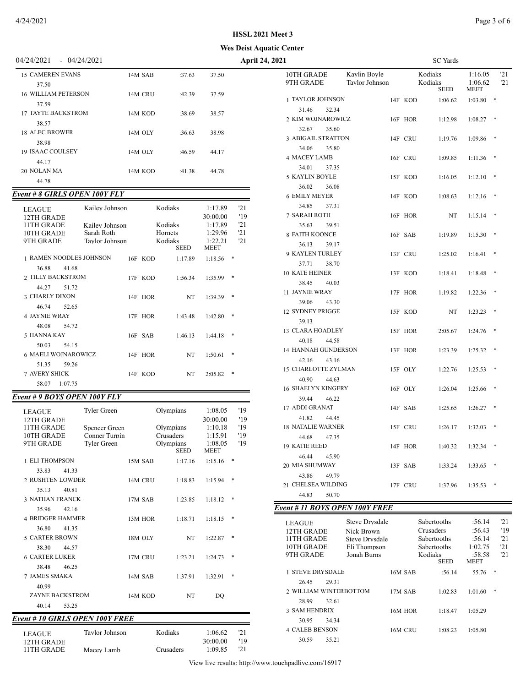### **Wes Deist Aquatic Center**

| 04/24/2021<br>$-04/24/2021$      |         |        |       | <b>April 24, 2021</b>                                     |         | <b>SC</b> Yards        |
|----------------------------------|---------|--------|-------|-----------------------------------------------------------|---------|------------------------|
| <b>15 CAMEREN EVANS</b><br>37.50 | 14M SAB | :37.63 | 37.50 | 10TH GRADE<br>Kavlin Bovle<br>9TH GRADE<br>Tavlor Johnson |         | Kodiaks<br>Kodiaks     |
| 16 WILLIAM PETERSON<br>37.59     | 14M CRU | :42.39 | 37.59 | 1 TAYLOR JOHNSON                                          | 14F KOD | <b>SEED</b><br>1:06.62 |
| 17 TAYTE BACKSTROM               | 14M KOD | :38.69 | 38.57 | 32.34<br>31.46<br>2 KIM WOJNAROWICZ                       | 16F     | <b>HOR</b><br>1:12.98  |
| 38.57<br><b>18 ALEC BROWER</b>   | 14M OLY | :36.63 | 38.98 | 35.60<br>32.67<br>3 ABIGAIL STRATTON                      | 14F CRU | 1:19.76                |
| 38.98<br><b>19 ISAAC COULSEY</b> | 14M OLY | :46.59 | 44.17 | 35.80<br>34.06<br><b>4 MACEY LAMB</b>                     | 16F CRU | 1:09.85                |
| 44.17<br>20 NOLAN MA<br>44.78    | 14M KOD | :41.38 | 44.78 | 37.35<br>34.01<br>5 KAYLIN BOYLE                          | 15F KOD | 1:16.05                |
|                                  |         |        |       |                                                           |         |                        |

## *Event # 8 GIRLS OPEN 100Y FLY*

| <b>LEAGUE</b><br>12TH GRADE<br>11TH GRADE<br>10TH GRADE<br>9TH GRADE | Kailey Johnson<br>Kailev Johnson<br>Sarah Roth<br>Taylor Johnson |         | Kodiaks<br>Kodiaks<br>Hornets<br>Kodiaks<br><b>SEED</b> | 1:17.89<br>30:00.00<br>1:17.89<br>1:29.96<br>1:22.21<br><b>MEET</b> | 121<br>'19<br>'21<br>'21<br>121 |
|----------------------------------------------------------------------|------------------------------------------------------------------|---------|---------------------------------------------------------|---------------------------------------------------------------------|---------------------------------|
| <b>1 RAMEN NOODLES JOHNSON</b>                                       |                                                                  | 16F KOD | 1:17.89                                                 | 1:18.56                                                             | *                               |
| 36.88<br>41.68                                                       |                                                                  |         |                                                         |                                                                     |                                 |
| 2. TILLY BACKSTROM                                                   |                                                                  | 17F KOD | 1:56.34                                                 | 1:35.99                                                             | $*$                             |
| 44.27<br>51.72                                                       |                                                                  |         |                                                         |                                                                     |                                 |
| 3 CHARLY DIXON                                                       |                                                                  | 14F HOR | NT                                                      | 1:39.39                                                             | *                               |
| 46 74<br>52.65                                                       |                                                                  |         |                                                         |                                                                     |                                 |
| <b>4 JAYNIE WRAY</b>                                                 |                                                                  | 17F HOR | 1:43.48                                                 | 1:42.80                                                             | $*$                             |
| 48.08<br>54.72                                                       |                                                                  |         |                                                         |                                                                     |                                 |
| 5 HANNA KAY                                                          |                                                                  | 16F SAB | 1:46.13                                                 | 1:44.18                                                             | *                               |
| 50.03<br>54.15                                                       |                                                                  |         |                                                         |                                                                     |                                 |
| <b>6 MAELI WOJNAROWICZ</b>                                           |                                                                  | 14F HOR | NT                                                      | 1:50.61                                                             | *                               |
| 51.35<br>59.26                                                       |                                                                  |         |                                                         |                                                                     |                                 |
| <b>7 AVERY SHICK</b>                                                 |                                                                  | 14F KOD | NT                                                      | 2:05.82                                                             | $*$                             |
| 58.07<br>1:07.75                                                     |                                                                  |         |                                                         |                                                                     |                                 |

### *Event # 9 BOYS OPEN 100Y FLY*

| <b>LEAGUE</b>            | Tyler Green   |         | Olympians   | 1:08.05             | '19        |
|--------------------------|---------------|---------|-------------|---------------------|------------|
| 12TH GRADE<br>11TH GRADE | Spencer Green |         | Olympians   | 30:00.00<br>1:10.18 | '19<br>'19 |
| 10TH GRADE               | Conner Turpin |         | Crusaders   | 1:15.91             | '19        |
| 9TH GRADE                | Tyler Green   |         | Olympians   | 1:08.05             | '19        |
|                          |               |         | <b>SEED</b> | <b>MEET</b>         |            |
| 1 ELI THOMPSON           |               | 15M SAB | 1:17.16     | 1:15.16             | $*$        |
| 33.83<br>41.33           |               |         |             |                     |            |
| 2 RUSHTEN LOWDER         |               | 14M CRU | 1:18.83     | 1:15.94             | *          |
| 35.13<br>40.81           |               |         |             |                     |            |
| <b>3 NATHAN FRANCK</b>   |               | 17M SAB | 1:23.85     | 1:18.12             | $*$        |
| 35.96<br>42.16           |               |         |             |                     |            |
| <b>4 BRIDGER HAMMER</b>  |               | 13M HOR | 1:18.71     | 1:18.15             | *          |
| 36.80<br>41.35           |               |         |             |                     |            |
| <b>5 CARTER BROWN</b>    |               | 18M OLY | NT          | 1:22.87             | *          |
| 38.30<br>44.57           |               |         |             |                     |            |
| <b>6 CARTER LUKER</b>    |               | 17M CRU | 1:23.21     | 1:24.73             | $*$        |
| 38.48<br>46.25           |               |         |             |                     |            |
| <b>7 JAMES SMAKA</b>     |               | 14M SAB | 1:37.91     | 1:32.91             | $*$        |
| 40.99                    |               |         |             |                     |            |
| ZAYNE BACKSTROM          |               | 14M KOD | NT          | DO                  |            |
| 40.14<br>53.25           |               |         |             |                     |            |

# *Event # 10 GIRLS OPEN 100Y FREE*

| LEAGUE.     | Tavlor Johnson | Kodiaks   | 1:06.62  | '21 |
|-------------|----------------|-----------|----------|-----|
| 12TH GRADE  |                |           | 30:00.00 | '19 |
| 11 TH GRADE | Macey Lamb     | Crusaders | 1:09.85  | '21 |
|             |                |           |          |     |

| 2021                                  |                                |            | SC Yards                          |                            |            |
|---------------------------------------|--------------------------------|------------|-----------------------------------|----------------------------|------------|
| 10TH GRADE<br>9TH GRADE               | Kaylin Boyle<br>Taylor Johnson |            | Kodiaks<br>Kodiaks<br><b>SEED</b> | 1:16.05<br>1:06.62<br>MEET | '21<br>'21 |
| <b>1 TAYLOR JOHNSON</b>               |                                | 14F KOD    | 1:06.62                           | 1:03.80                    | *          |
| 32.34<br>31.46                        |                                |            |                                   |                            |            |
| 2 KIM WOJNAROWICZ                     |                                | 16F HOR    | 1:12.98                           | 1:08.27                    | *          |
| 32.67<br>35.60                        |                                |            |                                   |                            |            |
| <b>3 ABIGAIL STRATTON</b>             |                                | 14F CRU    | 1:19.76                           | 1:09.86                    |            |
| 34.06<br>35.80                        |                                |            |                                   |                            |            |
| <b>4 MACEY LAMB</b>                   |                                | 16F CRU    | 1:09.85                           | 1:11.36                    | *          |
| 34.01<br>37.35<br>5 KAYLIN BOYLE      |                                | 15F KOD    | 1:16.05                           | 1:12.10                    | *          |
| 36.02<br>36.08                        |                                |            |                                   |                            |            |
| <b>6 EMILY MEYER</b>                  |                                | 14F KOD    | 1:08.63                           | 1:12.16                    | *          |
| 34.85<br>37.31                        |                                |            |                                   |                            |            |
| 7 SARAH ROTH                          | 16F                            | <b>HOR</b> | NT                                | 1:15.14                    | *          |
| 35.63<br>39.51                        |                                |            |                                   |                            |            |
| 8 FAITH KOONCE                        | 16F                            | <b>SAB</b> | 1:19.89                           | 1:15.30                    | *          |
| 36.13<br>39.17                        |                                |            |                                   |                            |            |
| 9 KAYLEN TURLEY                       |                                | 13F CRU    | 1:25.02                           | 1:16.41                    | *          |
| 37.71<br>38.70                        |                                |            |                                   |                            |            |
| 10 KATE HEINER                        |                                | 13F KOD    | 1:18.41                           | 1:18.48                    |            |
| 38.45<br>40.03                        |                                |            |                                   |                            |            |
| 11 JAYNIE WRAY                        |                                | 17F HOR    | 1:19.82                           | 1:22.36                    | *          |
| 39.06<br>43.30                        |                                |            |                                   |                            |            |
| <b>12 SYDNEY PRIGGE</b>               |                                | 15F KOD    | NT                                | 1:23.23                    | *          |
| 39.13                                 |                                |            |                                   |                            |            |
| 13 CLARA HOADLEY                      |                                | 15F HOR    | 2:05.67                           | 1:24.76                    | *          |
| 40.18<br>44.58                        |                                |            |                                   |                            |            |
| <b>14 HANNAH GUNDERSON</b>            | 13F                            | HOR        | 1:23.39                           | 1:25.32                    | *          |
| 42.16<br>43.16<br>15 CHARLOTTE ZYLMAN |                                | 15F OLY    | 1:22.76                           | 1:25.53                    | *          |
| 40.90<br>44.63                        |                                |            |                                   |                            |            |
| <b>16 SHAELYN KINGERY</b>             |                                | 16F OLY    | 1:26.04                           | 1:25.66                    |            |
| 39.44<br>46.22                        |                                |            |                                   |                            |            |
| <b>17 ADDI GRANAT</b>                 | 14F                            | <b>SAB</b> | 1:25.65                           | 1:26.27                    |            |
| 41.82<br>44.45                        |                                |            |                                   |                            |            |
| <b>18 NATALIE WARNER</b>              |                                | 15F CRU    | 1:26.17                           | 1:32.03                    | *          |
| 44.68<br>47.35                        |                                |            |                                   |                            |            |
| 19 KATIE REED                         | 14F                            | HOR        | 1:40.32                           | 1:32.34                    | *          |
| 46.44<br>45.90                        |                                |            |                                   |                            |            |
| 20 MIA SHUMWAY                        | 13F                            | <b>SAB</b> | 1:33.24                           | 1:33.65                    |            |
| 43.86<br>49.79                        |                                |            |                                   |                            |            |
| 21 CHELSEA WILDING                    |                                | 17F CRU    | 1:37.96                           | 1:35.53                    | $\ast$     |
| 44.83<br>50.70                        |                                |            |                                   |                            |            |
| Event # 11 BOYS OPEN 100Y FREE        |                                |            |                                   |                            |            |

| <b>LEAGUE</b><br>12TH GRADE<br>11TH GRADE<br>10TH GRADE<br>9TH GRADE |       | Steve Drysdale<br>Nick Brown<br><b>Steve Drysdale</b><br>Eli Thompson<br>Jonah Burns |         | Sabertooths<br>Crusaders<br><b>Sabertooths</b><br><b>Sabertooths</b><br>Kodiaks<br><b>SEED</b> | :56.14<br>:56.43<br>:56.14<br>1:02.75<br>:58.58<br><b>MEET</b> |   | '21<br>'19<br>'21<br>'21<br>'21 |
|----------------------------------------------------------------------|-------|--------------------------------------------------------------------------------------|---------|------------------------------------------------------------------------------------------------|----------------------------------------------------------------|---|---------------------------------|
| <b>STEVE DRYSDALE</b>                                                |       |                                                                                      | 16M SAB | :56.14                                                                                         | 55.76                                                          | * |                                 |
| 26.45                                                                | 29.31 | 2 WILLIAM WINTERBOTTOM                                                               | 17M SAB | 1:02.83                                                                                        | 1:01.60                                                        | * |                                 |
| 28.99                                                                | 32.61 |                                                                                      |         |                                                                                                |                                                                |   |                                 |
| <b>3 SAM HENDRIX</b>                                                 |       |                                                                                      | 16M HOR | 1:18.47                                                                                        | 1:05.29                                                        |   |                                 |
| 30.95                                                                | 34.34 |                                                                                      |         |                                                                                                |                                                                |   |                                 |
| <b>4 CALEB BENSON</b>                                                |       |                                                                                      | 16M CRU | 1:08.23                                                                                        | 1:05.80                                                        |   |                                 |
| 30.59                                                                | 35.21 |                                                                                      |         |                                                                                                |                                                                |   |                                 |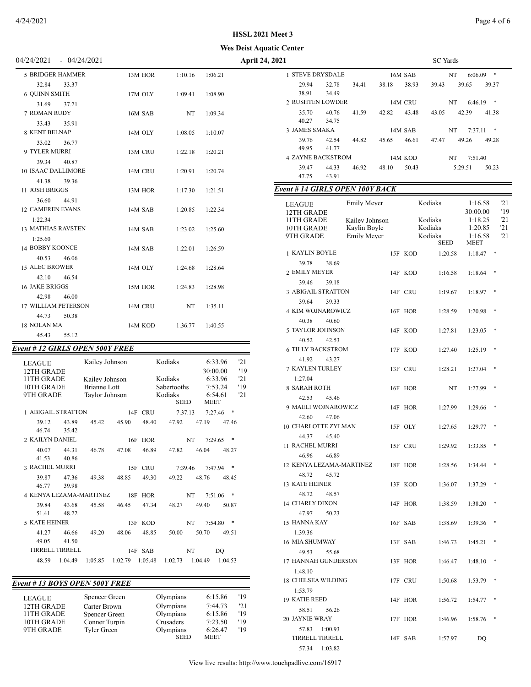-

### **Wes Deist Aquatic Center**

04/24/2021 - 04/24/2021 **April 24, 2021** SC Yards

| 04/24/2021                | $-04/24/2021$                   |         |         |         |
|---------------------------|---------------------------------|---------|---------|---------|
| <b>5 BRIDGER HAMMER</b>   |                                 | 13M HOR | 1:10.16 | 1:06.21 |
| 32.84                     | 33.37                           |         |         |         |
| 6 OUINN SMITH             |                                 | 17M OLY | 1:09.41 | 1:08.90 |
| 31.69                     | 37.21                           |         |         |         |
| <b>7 ROMAN RUDY</b>       |                                 | 16M SAB | NT      | 1:09.34 |
| 33.43 35.91               |                                 |         |         |         |
| 8 KENT BELNAP             |                                 | 14M OLY | 1:08.05 | 1:10.07 |
| 33.02                     | 36.77                           |         |         |         |
| <b>9 TYLER MURRI</b>      |                                 | 13M CRU | 1:22.18 | 1:20.21 |
| 39.34 40.87               |                                 |         |         |         |
| <b>10 ISAAC DALLIMORE</b> |                                 | 14M CRU | 1:20.91 | 1:20.74 |
| 41.38                     | 39.36                           |         |         |         |
| 11 JOSH BRIGGS            |                                 | 13M HOR | 1:17.30 | 1:21.51 |
| 36.60 44.91               |                                 |         |         |         |
| <b>12 CAMEREN EVANS</b>   |                                 | 14M SAB | 1:20.85 | 1:22.34 |
| 1:22.34                   |                                 |         |         |         |
| 13 MATHIAS RAVSTEN        |                                 | 14M SAB | 1:23.02 | 1:25.60 |
| 1:25.60                   |                                 |         |         |         |
| <b>14 BOBBY KOONCE</b>    |                                 | 14M SAB | 1:22.01 | 1:26.59 |
| 40.53                     | 46.06                           |         |         |         |
| <b>15 ALEC BROWER</b>     |                                 | 14M OLY | 1:24.68 | 1:28.64 |
| 42.10                     | 46.54                           |         |         |         |
| <b>16 JAKE BRIGGS</b>     |                                 | 15M HOR | 1:24.83 | 1:28.98 |
| 42.98                     | 46.00                           |         |         |         |
| 17 WILLIAM PETERSON       |                                 | 14M CRU | NT      | 1:35.11 |
| 44.73                     | 50.38                           |         |         |         |
| 18 NOLAN MA               |                                 | 14M KOD | 1:36.77 | 1:40.55 |
| 45.43                     | 55.12                           |         |         |         |
|                           | Event # 12 GIRLS OPEN 500Y FREE |         |         |         |
|                           |                                 |         |         |         |

| Veni # 12 GIRLS OPEN 3001 FREE |                |                |         |            |                        |             |                     |            |
|--------------------------------|----------------|----------------|---------|------------|------------------------|-------------|---------------------|------------|
| <b>LEAGUE</b><br>12TH GRADE    |                | Kailey Johnson |         |            | Kodiaks                |             | 6:33.96<br>30:00.00 | '21<br>'19 |
| 11TH GRADE                     |                | Kailev Johnson |         |            | Kodiaks                |             | 6:33.96             | '21        |
| 10TH GRADE                     |                | Brianne Lott   |         |            | Sabertooths            |             | 7:53.24             | '19        |
| 9TH GRADE                      |                | Tavlor Johnson |         |            | Kodiaks<br><b>SEED</b> | <b>MEET</b> | 6:54.61             | '21        |
| 1 ABIGAIL STRATTON             |                |                | 14F     | CRU        | 7:37.13                | 7:27.46     | *                   |            |
| 39.12<br>46.74                 | 43.89<br>35.42 | 45.42          | 45.90   | 48.40      | 47.92                  | 47.19       | 47.46               |            |
| 2 KAILYN DANIEL                |                |                | 16F     | <b>HOR</b> | NT                     | 7:29.65     | *                   |            |
| 40.07<br>41.53                 | 44.31<br>40.86 | 46.78          | 47.08   | 46.89      | 47.82                  | 46.04       | 48.27               |            |
| 3 RACHEL MURRI                 |                |                | 15F     | CRU        | 7:39.46                |             | *<br>7:47.94        |            |
| 39.87<br>46.77                 | 47.36<br>39.98 | 49.38          | 48.85   | 49.30      | 49.22                  | 48.76       | 48.45               |            |
| <b>4 KENYA LEZAMA-MARTINEZ</b> |                |                | 18F     | <b>HOR</b> | NT                     | 7:51.06     | ∗                   |            |
| 39.84<br>51.41                 | 43.68<br>48.22 | 45.58          | 46.45   | 47.34      | 48.27                  | 49.40       | 50.87               |            |
| 5 KATE HEINER                  |                |                | 13F     | <b>KOD</b> | NT                     | 7:54.80     | ∗                   |            |
| 41.27<br>49.05                 | 46.66<br>41.50 | 49.20          | 48.06   | 48.85      | 50.00                  | 50.70       | 49.51               |            |
| TIRRELL TIRRELL                |                |                |         | 14F SAB    | NT                     |             | DO                  |            |
| 48.59                          | 1:04.49        | 1:05.85        | 1:02.79 | 1:05.48    | 1:02.73                | 1:04.49     | 1:04.53             |            |

| Event # 13 BOYS OPEN 500Y FREE |                    |                          |                        |     |  |  |  |  |
|--------------------------------|--------------------|--------------------------|------------------------|-----|--|--|--|--|
| <b>LEAGUE</b>                  | Spencer Green      | Olympians                | 6:15.86                | '19 |  |  |  |  |
| 12TH GRADE                     | Carter Brown       | Olympians                | 7:44.73                | '21 |  |  |  |  |
| 11 TH GRADE                    | Spencer Green      | Olympians                | 6:15.86                | '19 |  |  |  |  |
| 10TH GRADE                     | Conner Turpin      | Crusaders                | 7:23.50                | '19 |  |  |  |  |
| 9TH GRADE                      | <b>Tyler Green</b> | Olympians<br><b>SEED</b> | 6:26.47<br><b>MEET</b> | '19 |  |  |  |  |

| 1 STEVE DRYSDALE                |                |             | 16M SAB | NT          | 6:06.09             | ∗      |  |
|---------------------------------|----------------|-------------|---------|-------------|---------------------|--------|--|
| 29.94<br>32.78                  | 34.41          | 38.18       | 38.93   | 39.43       | 39.65               | 39.37  |  |
| 38.91<br>34.49                  |                |             |         |             |                     |        |  |
| 2 RUSHTEN LOWDER                |                |             | 14M CRU | NT          | 6:46.19             | ∗      |  |
| 40.76<br>35.70                  | 41.59          | 42.82 43.48 |         | 43.05       | 42.39               | 41.38  |  |
| 40.27<br>34.75                  |                |             |         |             |                     |        |  |
| 3 JAMES SMAKA                   |                |             | 14M SAB |             | NT 7:37.11          |        |  |
| 39.76<br>42.54                  | 44.82          | 45.65       | 46.61   | 47.47       | 49.26               | 49.28  |  |
| 49.95<br>41.77                  |                |             |         |             |                     |        |  |
| <b>4 ZAYNE BACKSTROM</b>        |                |             | 14M KOD | NT          | 7:51.40             |        |  |
| 44.33<br>39.47                  | 46.92          | 48.10       | 50.43   |             | 5:29.51             | 50.23  |  |
| 47.75<br>43.91                  |                |             |         |             |                     |        |  |
|                                 |                |             |         |             |                     |        |  |
| Event # 14 GIRLS OPEN 100Y BACK |                |             |         |             |                     |        |  |
| LEAGUE                          | Emily Meyer    |             |         | Kodiaks     | 1:16.58             | 21     |  |
| 12TH GRADE                      |                |             |         |             | 30:00.00            | '19    |  |
| 11TH GRADE                      | Kailev Johnson |             |         | Kodiaks     | 1:18.25             | '21    |  |
| 10TH GRADE                      | Kaylin Boyle   |             |         | Kodiaks     | 1:20.85             | '21    |  |
| 9TH GRADE                       | Emily Mever    |             |         | Kodiaks     | 1:16.58             | '21    |  |
|                                 |                |             |         | <b>SEED</b> | <b>MEET</b>         |        |  |
| 1 KAYLIN BOYLE                  |                |             | 15F KOD | 1:20.58     | 1:18.47             | *      |  |
| 39.78<br>38.69                  |                |             |         |             |                     |        |  |
| 2 EMILY MEYER                   |                |             | 14F KOD | 1:16.58     | 1:18.64             | *      |  |
|                                 |                |             |         |             |                     |        |  |
| 39.46<br>39.18                  |                |             |         |             |                     |        |  |
| <b>3 ABIGAIL STRATTON</b>       |                |             | 14F CRU | 1:19.67     | 1:18.97             | *      |  |
| 39.64<br>39.33                  |                |             |         |             |                     |        |  |
| <b>4 KIM WOJNAROWICZ</b>        |                |             | 16F HOR | 1:28.59     | 1:20.98             | *      |  |
| 40.38<br>40.60                  |                |             |         |             |                     |        |  |
| 5 TAYLOR JOHNSON                |                |             | 14F KOD | 1:27.81     | 1:23.05             | *      |  |
| 40.52<br>42.53                  |                |             |         |             |                     |        |  |
|                                 |                |             |         |             |                     | *      |  |
| <b>6 TILLY BACKSTROM</b>        |                |             | 17F KOD | 1:27.40     | 1:25.19             |        |  |
| 41.92<br>43.27                  |                |             |         |             |                     |        |  |
| 7 KAYLEN TURLEY                 |                |             | 13F CRU | 1:28.21     | 1:27.04             | *      |  |
| 1:27.04                         |                |             |         |             |                     |        |  |
| 8 SARAH ROTH                    |                |             | 16F HOR | NT          | 1:27.99             | *      |  |
| 45.46<br>42.53                  |                |             |         |             |                     |        |  |
| 9 MAELI WOJNAROWICZ             |                |             | 14F HOR | 1:27.99     | 1:29.66             | *      |  |
| 42.60<br>47.06                  |                |             |         |             |                     |        |  |
| 10 CHARLOTTE ZYLMAN             |                |             |         |             |                     | *      |  |
|                                 |                |             | 15F OLY | 1:27.65     | 1:29.77             |        |  |
| 44.37<br>45.40                  |                |             |         |             |                     |        |  |
| <b>11 RACHEL MURRI</b>          |                |             | 15F CRU | 1:29.92     | 1:33.85             | *      |  |
| 46.96<br>46.89                  |                |             |         |             |                     |        |  |
| 12 KENYA LEZAMA-MARTINEZ        |                |             | 18F HOR | 1:28.56     | 1:34.44             | $\ast$ |  |
| 48.72<br>45.72                  |                |             |         |             |                     |        |  |
| <b>13 KATE HEINER</b>           |                |             | 13F KOD |             | $1:36.07$ $1:37.29$ |        |  |
| 48.72<br>48.57                  |                |             |         |             |                     |        |  |
|                                 |                |             |         |             |                     | ∗      |  |
| <b>14 CHARLY DIXON</b>          |                |             | 14F HOR | 1:38.59     | 1:38.20             |        |  |
| 47.97<br>50.23                  |                |             |         |             |                     |        |  |
|                                 |                |             |         |             |                     |        |  |
| 15 HANNA KAY                    |                |             | 16F SAB | 1:38.69     | 1:39.36             | *      |  |
| 1:39.36                         |                |             |         |             |                     |        |  |
| 16 MIA SHUMWAY                  |                |             | 13F SAB | 1:46.73     | 1:45.21             | ∗      |  |
| 49.53                           |                |             |         |             |                     |        |  |
| 55.68                           |                |             |         |             |                     | $\ast$ |  |
| 17 HANNAH GUNDERSON             |                |             | 13F HOR | 1:46.47     | 1:48.10             |        |  |
| 1:48.10                         |                |             |         |             |                     |        |  |
| 18 CHELSEA WILDING              |                |             | 17F CRU | 1:50.68     | 1:53.79             | $\ast$ |  |
| 1:53.79                         |                |             |         |             |                     |        |  |
| <b>19 KATIE REED</b>            |                |             | 14F HOR | 1:56.72     | 1:54.77             | $\ast$ |  |
| 58.51<br>56.26                  |                |             |         |             |                     |        |  |
| 20 JAYNIE WRAY                  |                |             | 17F HOR | 1:46.96     | 1:58.76             | *      |  |

TIRRELL TIRRELL 14F SAB 1:57.97 DQ

57.34 1:03.82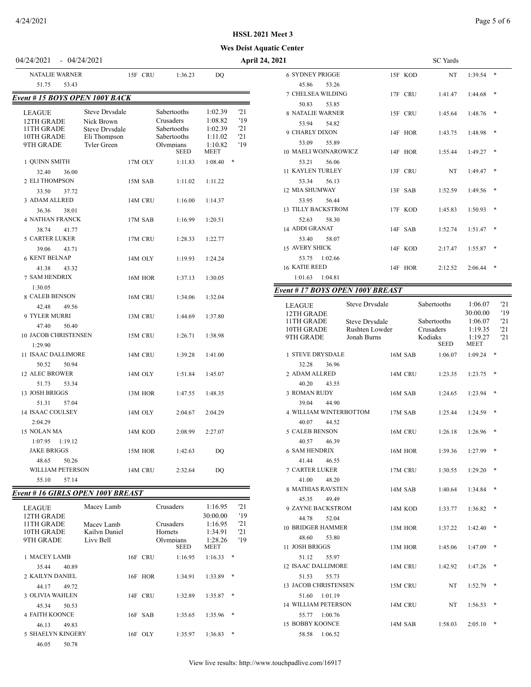### **HSSL 2021 Meet 3**

### **Wes Deist Aquatic Center**

| <b>NATALIE WARNER</b>                                                |                                                                                                    | 15F CRU | 1:36.23                                                                            | DQ                                                                 |                                |
|----------------------------------------------------------------------|----------------------------------------------------------------------------------------------------|---------|------------------------------------------------------------------------------------|--------------------------------------------------------------------|--------------------------------|
| 51.75<br>53.43                                                       |                                                                                                    |         |                                                                                    |                                                                    |                                |
| Event # 15 BOYS OPEN 100Y BACK                                       |                                                                                                    |         |                                                                                    |                                                                    |                                |
| <b>LEAGUE</b><br>12TH GRADE<br>11TH GRADE<br>10TH GRADE<br>9TH GRADE | <b>Steve Drysdale</b><br>Nick Brown<br><b>Steve Drysdale</b><br>Eli Thompson<br><b>Tyler Green</b> |         | Sabertooths<br>Crusaders<br>Sabertooths<br>Sabertooths<br>Olympians<br><b>SEED</b> | 1:02.39<br>1:08.82<br>1:02.39<br>1:11.02<br>1:10.82<br><b>MEET</b> | '21<br>'19<br>'21<br>21<br>'19 |
| 1 OUINN SMITH                                                        |                                                                                                    | 17M OLY | 1:11.83                                                                            | 1:08.40                                                            | $\ast$                         |
| 32.40<br>36.00<br>2 ELI THOMPSON<br>33.50<br>37.72                   |                                                                                                    | 15M SAB | 1:11.02                                                                            | 1:11.22                                                            |                                |
| 3 ADAM ALLRED                                                        |                                                                                                    | 14M CRU | 1:16.00                                                                            | 1:14.37                                                            |                                |
| 36.36<br>38.01<br>4 NATHAN FRANCK<br>38.74<br>41.77                  |                                                                                                    | 17M SAB | 1:16.99                                                                            | 1:20.51                                                            |                                |
| <b>5 CARTER LUKER</b><br>39.06<br>43.71                              |                                                                                                    | 17M CRU | 1:28.33                                                                            | 1:22.77                                                            |                                |
| <b>6 KENT BELNAP</b><br>41.38<br>43.32                               |                                                                                                    | 14M OLY | 1:19.93                                                                            | 1:24.24                                                            |                                |
| <b>7 SAM HENDRIX</b><br>1:30.05                                      |                                                                                                    | 16M HOR | 1:37.13                                                                            | 1:30.05                                                            |                                |
| 8 CALEB BENSON<br>42.48<br>49.56                                     |                                                                                                    | 16M CRU | 1:34.06                                                                            | 1:32.04                                                            |                                |
| 9 TYLER MURRI<br>47.40<br>50.40                                      |                                                                                                    | 13M CRU | 1:44.69                                                                            | 1:37.80                                                            |                                |
| 10 JACOB CHRISTENSEN<br>1:29.90                                      |                                                                                                    | 15M CRU | 1:26.71                                                                            | 1:38.98                                                            |                                |
| <b>11 ISAAC DALLIMORE</b><br>50.52<br>50.94                          |                                                                                                    | 14M CRU | 1:39.28                                                                            | 1:41.00                                                            |                                |
| <b>12 ALEC BROWER</b><br>51.73<br>53.34                              |                                                                                                    | 14M OLY | 1:51.84                                                                            | 1:45.07                                                            |                                |
| 13 JOSH BRIGGS<br>51.31<br>57.04                                     |                                                                                                    | 13M HOR | 1:47.55                                                                            | 1:48.35                                                            |                                |
| 14 ISAAC COULSEY<br>2:04.29                                          |                                                                                                    | 14M OLY | 2:04.67                                                                            | 2:04.29                                                            |                                |
| 15 NOLAN MA<br>1:07.95<br>1:19.12                                    |                                                                                                    | 14M KOD | 2:08.99                                                                            | 2:27.07                                                            |                                |
| <b>JAKE BRIGGS</b><br>48.65<br>50.26                                 |                                                                                                    | 15M HOR | 1:42.63                                                                            | DO                                                                 |                                |
| <b>WILLIAM PETERSON</b><br>55.10<br>57.14                            |                                                                                                    | 14M CRU | 2:32.64                                                                            | DO                                                                 |                                |

# *Event # 16 GIRLS OPEN 100Y BREAST*

| LEAGUE<br>12TH GRADE  | Macev Lamb       |                          |            | Crusaders              | 1:16.95<br>30:00.00 | '21<br>'19 |
|-----------------------|------------------|--------------------------|------------|------------------------|---------------------|------------|
| 11TH GRADE            | Macev Lamb       |                          |            | Crusaders              | 1:16.95             | '21        |
| 10TH GRADE            | Kailyn Daniel    |                          |            | <b>Hornets</b>         | 1:34.91             | '21        |
| 9TH GRADE             | <b>Livy Bell</b> | Olympians<br><b>SEED</b> |            | 1:28.26<br><b>MEET</b> | '19                 |            |
| 1 MACEY LAMB          |                  |                          | 16F CRU    | 1:16.95                | 1:16.33             | $*$        |
| 40.89<br>35.44        |                  |                          |            |                        |                     |            |
| 2 KAILYN DANIEL       |                  | 16F                      | <b>HOR</b> | 1:34.91                | 1:33.89             | $*$        |
| 44.17<br>49.72        |                  |                          |            |                        |                     |            |
| 3 OLIVIA WAHLEN       |                  | 14F                      | <b>CRU</b> | 1:32.89                | 1:35.87             | $*$        |
| 50.53<br>45.34        |                  |                          |            |                        |                     |            |
| <b>4 FAITH KOONCE</b> |                  | 16F                      | <b>SAB</b> | 1:35.65                | 1:35.96             | $*$        |
| 49.83<br>46.13        |                  |                          |            |                        |                     |            |
| 5 SHAELYN KINGERY     |                  |                          | $16F$ OLY  | 1:35.97                | 1:36.83             | $*$        |
| 46.05<br>50.78        |                  |                          |            |                        |                     |            |

| 04/24/2021                               | $-04/24/2021$                                 |                                         | <b>April 24, 2021</b>                              |                                               |         | SC Yards               |
|------------------------------------------|-----------------------------------------------|-----------------------------------------|----------------------------------------------------|-----------------------------------------------|---------|------------------------|
| <b>NATALIE WARNER</b><br>51.75<br>53.43  | 15F CRU                                       | 1:36.23                                 | <b>DQ</b>                                          | <b>6 SYDNEY PRIGGE</b><br>45.86<br>53.26      | 15F KOD | NT<br>$1:39.54$ *      |
| Event # 15 BOYS OPEN 100Y BACK           |                                               |                                         |                                                    | 7 CHELSEA WILDING<br>50.83<br>53.85           | 17F CRU | 1:41.47<br>$1:44.68$ * |
| <b>LEAGUE</b><br>12TH GRADE              | <b>Steve Drysdale</b><br>Nick Brown           | Sabertooths<br>Crusaders                | '21<br>1:02.39<br>1:08.82<br>'19                   | <b>8 NATALIE WARNER</b><br>53.94<br>54.82     | 15F CRU | $1:48.76$ *<br>1:45.64 |
| 11TH GRADE<br>10TH GRADE<br>9TH GRADE    | Steve Drysdale<br>Eli Thompson<br>Tyler Green | Sabertooths<br>Sabertooths<br>Olympians | '21<br>1:02.39<br>'21<br>1:11.02<br>1:10.82<br>'19 | 9 CHARLY DIXON<br>53.09<br>55.89              | 14F HOR | 1:48.98 *<br>1:43.75   |
| 1 OUINN SMITH                            | 17M OLY                                       | <b>SEED</b><br>1:11.83                  | <b>MEET</b><br>$\ast$<br>1:08.40                   | <b>10 MAELI WOJNAROWICZ</b><br>53.21<br>56.06 | 14F HOR | $1:49.27$ *<br>1:55.44 |
| 32.40<br>36.00<br>2 ELI THOMPSON         | 15M SAB                                       | 1:11.02                                 | 1:11.22                                            | 11 KAYLEN TURLEY<br>53.34<br>56.13            | 13F CRU | NT<br>$1:49.47$ *      |
| 37.72<br>33.50<br>3 ADAM ALLRED          | 14M CRU                                       | 1:16.00                                 | 1:14.37                                            | 12 MIA SHUMWAY<br>53.95<br>56.44              | 13F SAB | 1:52.59<br>$1:49.56$ * |
| 36.36<br>38.01<br><b>4 NATHAN FRANCK</b> | 17M SAB                                       | 1:16.99                                 | 1:20.51                                            | 13 TILLY BACKSTROM<br>52.63<br>58.30          | 17F KOD | $1:50.93$ *<br>1:45.83 |
| 38.74<br>41.77<br>5 CARTER LUKER         | 17M CRU                                       | 1:28.33                                 | 1:22.77                                            | 14 ADDI GRANAT<br>53.40<br>58.07              | 14F SAB | 1:52.74<br>$1:51.47$ * |
| 39.06<br>43.71<br><b>6 KENT BELNAP</b>   | 14M OLY                                       | 1:19.93                                 | 1:24.24                                            | <b>15 AVERY SHICK</b><br>53.75<br>1:02.66     | 14F KOD | $1:55.87$ *<br>2:17.47 |
| 41.38<br>43.32<br>7 SAM HENDRIX          | 16M HOR                                       | 1:37.13                                 | 1:30.05                                            | 16 KATIE REED<br>1:01.63<br>1:04.81           | 14F HOR | 2:12.52<br>$2:06.44$ * |
|                                          |                                               |                                         |                                                    |                                               |         |                        |

# *Event # 17 BOYS OPEN 100Y BREAST*

| <b>LEAGUE</b><br>12TH GRADE<br>11TH GRADE   | <b>Steve Drysdale</b><br><b>Steve Drysdale</b> |         | Sabertooths<br>Sabertooths          | 1:06.07<br>30:00.00<br>1:06.07    |   | 121<br>'19<br>'21 |
|---------------------------------------------|------------------------------------------------|---------|-------------------------------------|-----------------------------------|---|-------------------|
| 10TH GRADE<br>9TH GRADE                     | Rushten Lowder<br>Jonah Burns                  |         | Crusaders<br>Kodiaks<br><b>SEED</b> | 1:19.35<br>1:19.27<br><b>MEET</b> |   | 21<br>'21         |
| <b>1 STEVE DRYSDALE</b>                     |                                                | 16M SAB | 1:06.07                             | 1:09.24                           | * |                   |
| 36.96<br>32.28<br>2 ADAM ALLRED             |                                                | 14M CRU | 1:23.35                             | 1:23.75                           | * |                   |
| 40.20<br>43.55                              |                                                |         |                                     |                                   |   |                   |
| <b>3 ROMAN RUDY</b>                         |                                                | 16M SAB | 1:24.65                             | 1:23.94                           | * |                   |
| 39.04<br>44.90                              |                                                |         |                                     |                                   |   |                   |
| <b>4 WILLIAM WINTERBOTTOM</b>               |                                                | 17M SAB | 1:25.44                             | 1:24.59                           | * |                   |
| 40.07<br>44.52                              |                                                |         |                                     |                                   |   |                   |
| <b>5 CALEB BENSON</b>                       |                                                | 16M CRU | 1:26.18                             | 1:26.96                           | * |                   |
| 40.57<br>46.39                              |                                                |         |                                     |                                   |   |                   |
| <b>6 SAM HENDRIX</b><br>46.55               |                                                | 16M HOR | 1:39.36                             | 1:27.99                           | * |                   |
| 41.44<br><b>7 CARTER LUKER</b>              |                                                | 17M CRU | 1:30.55                             | 1:29.20                           | * |                   |
| 41.00<br>48.20                              |                                                |         |                                     |                                   |   |                   |
| 8 MATHIAS RAVSTEN                           |                                                | 14M SAB | 1:40.64                             | 1:34.84                           | * |                   |
| 45.35<br>49.49                              |                                                |         |                                     |                                   |   |                   |
| 9 ZAYNE BACKSTROM                           |                                                | 14M KOD | 1:33.77                             | 1:36.82                           | * |                   |
| 44.78<br>52.04                              |                                                |         |                                     |                                   |   |                   |
| 10 BRIDGER HAMMER                           |                                                | 13M HOR | 1:37.22                             | 1:42.40                           | * |                   |
| 48.60<br>53.80                              |                                                |         |                                     |                                   |   |                   |
| 11 JOSH BRIGGS                              |                                                | 13M HOR | 1:45.06                             | 1:47.09                           | * |                   |
| 51.12<br>55.97<br><b>12 ISAAC DALLIMORE</b> |                                                | 14M CRU | 1:42.92                             | 1:47.26                           | * |                   |
| 51.53<br>55.73                              |                                                |         |                                     |                                   |   |                   |
| <b>13 JACOB CHRISTENSEN</b>                 |                                                | 15M CRU | NT                                  | 1:52.79                           | * |                   |
| 51.60<br>1:01.19                            |                                                |         |                                     |                                   |   |                   |
| <b>14 WILLIAM PETERSON</b>                  |                                                | 14M CRU | NT                                  | 1:56.53                           | * |                   |
| 55.77<br>1:00.76                            |                                                |         |                                     |                                   |   |                   |
| <b>15 BOBBY KOONCE</b>                      |                                                | 14M SAB | 1:58.03                             | 2:05.10                           | * |                   |
| 58.58<br>1:06.52                            |                                                |         |                                     |                                   |   |                   |